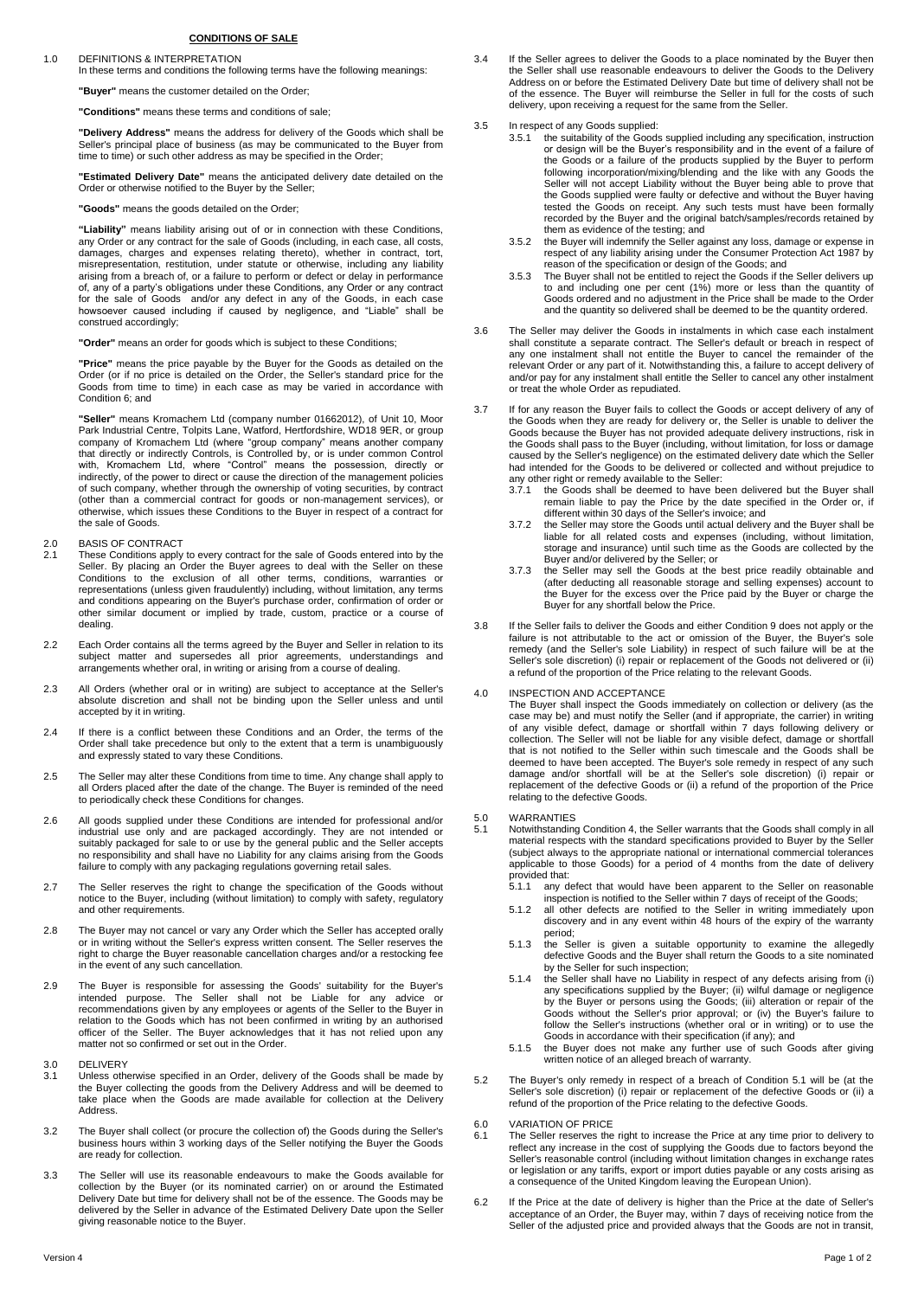### **CONDITIONS OF SALE**

#### 1.0 DEFINITIONS & INTERPRETATION

In these terms and conditions the following terms have the following meanings:

**"Buyer"** means the customer detailed on the Order;

**"Conditions"** means these terms and conditions of sale;

**"Delivery Address"** means the address for delivery of the Goods which shall be Seller's principal place of business (as may be communicated to the Buyer from time to time) or such other address as may be specified in the Order;

**"Estimated Delivery Date"** means the anticipated delivery date detailed on the Order or otherwise notified to the Buyer by the Seller;

**"Goods"** means the goods detailed on the Order;

**"Liability"** means liability arising out of or in connection with these Conditions, any Order or any contract for the sale of Goods (including, in each case, all costs, damages, charges and expenses relating thereto), whether in contract, tort, misrepresentation, restitution, under statute or otherwise, including any liability arising from a breach of, or a failure to perform or defect or delay in performance of, any of a party's obligations under these Conditions, any Order or any contract for the sale of Goods and/or any defect in any of the Goods, in each case howsoever caused including if caused by negligence, and "Liable" shall be construed accordingly;

**"Order"** means an order for goods which is subject to these Conditions;

**"Price"** means the price payable by the Buyer for the Goods as detailed on the Order (or if no price is detailed on the Order, the Seller's standard price for the Goods from time to time) in each case as may be varied in accordance with Condition 6; and

**"Seller"** means Kromachem Ltd (company number 01662012), of Unit 10, Moor Park Industrial Centre, Tolpits Lane, Watford, Hertfordshire, WD18 9ER, or group<br>company of Kromachem Ltd (where "group company" means another company<br>that directly or indirectly Controls, is Controlled by, or is under com of such company, whether through the ownership of voting securities, by contract<br>(other than a commercial contract for goods or non-management services), or<br>otherwise, which issues these Conditions to the Buyer in respect the sale of Goods.

## 2.0 BASIS OF CONTRACT<br>2.1 These Conditions apply

- 2.1 These Conditions apply to every contract for the sale of Goods entered into by the Seller. By placing an Order the Buyer agrees to deal with the Seller on these<br>Conditions to the exclusion of all other terms, conditions, warranties or<br>representations (unless given fraudulently) including, witho and conditions appearing on the Buyer's purchase order, confirmation of order or other similar document or implied by trade, custom, practice or a course of dealing.
- 2.2 Each Order contains all the terms agreed by the Buyer and Seller in relation to its subject matter and supersedes all prior agreements, understandings and arrangements whether oral, in writing or arising from a course of dealing.
- 2.3 All Orders (whether oral or in writing) are subject to acceptance at the Seller's absolute discretion and shall not be binding upon the Seller unless and until accepted by it in writing.
- 2.4 If there is a conflict between these Conditions and an Order, the terms of the Order shall take precedence but only to the extent that a term is unambiguously and expressly stated to vary these Conditions.
- 2.5 The Seller may alter these Conditions from time to time. Any change shall apply to all Orders placed after the date of the change. The Buyer is reminded of the need to periodically check these Conditions for changes.
- All goods supplied under these Conditions are intended for professional and/or<br>industrial use only and are packaged accordingly. They are not intended or<br>suitably packaged for sale to or use by the general public and the S no responsibility and shall have no Liability for any claims arising from the Goods failure to comply with any packaging regulations governing retail sales.
- 2.7 The Seller reserves the right to change the specification of the Goods without notice to the Buyer, including (without limitation) to comply with safety, regulatory and other requirements.
- 2.8 The Buyer may not cancel or vary any Order which the Seller has accepted orally or in writing without the Seller's express written consent. The Seller reserves the right to charge the Buyer reasonable cancellation charges and/or a restocking fee in the event of any such cancellation.
- 2.9 The Buyer is responsible for assessing the Goods' suitability for the Buyer's<br>intended purpose. The Seller shall not be Liable for any advice or<br>recommendations given by any employees or agents of the Seller to the Buy relation to the Goods which has not been confirmed in writing by an authorised officer of the Seller. The Buyer acknowledges that it has not relied upon any matter not so confirmed or set out in the Order.
- 3.0 DELIVERY<br>3.1 Unless oth
- 3.1 Unless otherwise specified in an Order, delivery of the Goods shall be made by<br>the Buyer collecting the goods from the Delivery Address and will be deemed to<br>take place when the Goods are made available for collection Address.
- 3.2 The Buyer shall collect (or procure the collection of) the Goods during the Seller's business hours within 3 working days of the Seller notifying the Buyer the Goods are ready for collection.
- 3.3 The Seller will use its reasonable endeavours to make the Goods available for collection by the Buyer (or its nominated carrier) on or around the Estimated Delivery Date but time for delivery shall not be of the essence. The Goods may be delivered by the Seller in advance of the Estimated Delivery Date upon the Seller giving reasonable notice to the Buyer.
- 3.4 If the Seller agrees to deliver the Goods to a place nominated by the Buyer then the Seller shall use reasonable endeavours to deliver the Goods to the Delivery Address on or before the Estimated Delivery Date but time of delivery shall not be of the essence. The Buyer will reimburse the Seller in full for the costs of such delivery, upon receiving a request for the same from the Seller.
- 3.5 In respect of any Goods supplied:<br>3.5.1 the suitability of the Goods
	- the suitability of the Goods supplied including any specification, instruction or design will be the Buyer's responsibility and in the event of a failure of the Goods or a failure of the products supplied by the Buyer to perform following incorporation/mixing/blending and the like with any Goods the Seller will not accept Liability without the Buyer being able to prove that the Goods supplied were faulty or defective and without the Buyer having tested the Goods on receipt. Any such tests must have been formally recorded by the Buyer and the original batch/samples/records retained by them as evidence of the testing; and
		- 3.5.2 the Buyer will indemnify the Seller against any loss, damage or expense in respect of any liability arising under the Consumer Protection Act 1987 by reason of the specification or design of the Goods; and
		- 3.5.3 The Buyer shall not be entitled to reject the Goods if the Seller delivers up to and including one per cent (1%) more or less than the quantity of Goods ordered and no adjustment in the Price shall be made to the Order and the quantity so delivered shall be deemed to be the quantity ordered.
- 3.6 The Seller may deliver the Goods in instalments in which case each instalment<br>shall constitute a separate contract. The Seller's default or breach in respect of<br>any one instalment shall not entitle the Buyer to cancel relevant Order or any part of it. Notwithstanding this, a failure to accept delivery of and/or pay for any instalment shall entitle the Seller to cancel any other instalment or treat the whole Order as repudiated.
- 3.7 If for any reason the Buyer fails to collect the Goods or accept delivery of any of the Goods when they are ready for delivery or, the Seller is unable to deliver the Goods because the Buyer has not provided adequate delivery instructions, risk in the Goods shall pass to the Buyer (including, without limitation, for loss or damage caused by the Seller's negligence) on the estimated delivery date which the Seller had intended for the Goods to be delivered or collected and without prejudice to
	- any other right or remedy available to the Seller: 3.7.1 the Goods shall be deemed to have been delivered but the Buyer shall remain liable to pay the Price by the date specified in the Order or, if
	- different within 30 days of the Seller's invoice; and 3.7.2 the Seller may store the Goods until actual delivery and the Buyer shall be liable for all related costs and expenses (including, without limitation, storage and insurance) until such time as the Goods are collected by the Buyer and/or delivered by the Seller; or 3.7.3 the Seller may sell the Goods at the best price readily obtainable and
	- (after deducting all reasonable storage and selling expenses) account to the Buyer for the excess over the Price paid by the Buyer or charge the Buyer for any shortfall below the Price.
- 3.8 If the Seller fails to deliver the Goods and either Condition 9 does not apply or the failure is not attributable to the act or omission of the Buyer, the Buyer's sole remedy (and the Seller's sole Liability) in respect of such failure will be at the Seller's sole discretion) (i) repair or replacement of the Goods not delivered or (ii) a refund of the proportion of the Price relating to the relevant Goods.

4.0 INSPECTION AND ACCEPTANCE

The Buyer shall inspect the Goods immediately on collection or delivery (as the case may be) and must notify the Seller (and if appropriate, the carrier) in writing of any visible defect, damage or shortfall within 7 days following delivery or collection. The Seller will not be liable for any visible defect, damage or shortfall that is not notified to the Seller within such timescale and the Goods shall be<br>deemed to have been accepted. The Buyer's sole remedy in respect of any such<br>damage and/or shortfall will be at the Seller's sole discretion) replacement of the defective Goods or (ii) a refund of the proportion of the Price relating to the defective Goods.

## 5.0 WARRANTIES<br>5.1 Notwithstanding

5.1 Notwithstanding Condition 4, the Seller warrants that the Goods shall comply in all material respects with the standard specifications provided to Buyer by the Seller (subject always to the appropriate national or international commercial tolerances applicable to those Goods) for a period of 4 months from the date of delivery provided that:<br>5.1.1 any c

- 5.1.1 any defect that would have been apparent to the Seller on reasonable inspection is notified to the Seller within 7 days of receipt of the Goods; 5.1.2 all other defects are notified to the Seller in writing immediately upon
- discovery and in any event within 48 hours of the expiry of the warranty period;
- 5.1.3 the Seller is given a suitable opportunity to examine the allegedly defective Goods and the Buyer shall return the Goods to a site nominated
- by the Seller for such inspection; 5.1.4 the Seller shall have no Liability in respect of any defects arising from (i) any specifications supplied by the Buyer; (ii) wilful damage or negligence by the Buyer or persons using the Goods; (iii) alteration or repair of the Goods without the Seller's prior approval; or (iv) the Buyer's failure to follow the Seller's instructions (whether oral or in writing) or to use the
- Goods in accordance with their specification (if any); and 5.1.5 the Buyer does not make any further use of such Goods after giving written notice of an alleged breach of warranty.
- 5.2 The Buyer's only remedy in respect of a breach of Condition 5.1 will be (at the Seller's sole discretion) (i) repair or replacement of the defective Goods or (ii) a refund of the proportion of the Price relating to the defective Goods.
- 6.0 VARIATION OF PRICE
- 6.1 The Seller reserves the right to increase the Price at any time prior to delivery to reflect any increase in the cost of supplying the Goods due to factors beyond the Seller's reasonable control (including without limi or legislation or any tariffs, export or import duties payable or any costs arising as a consequence of the United Kingdom leaving the European Union).
- 6.2 If the Price at the date of delivery is higher than the Price at the date of Seller's acceptance of an Order, the Buyer may, within 7 days of receiving notice from the Seller of the adjusted price and provided always that the Goods are not in transit,